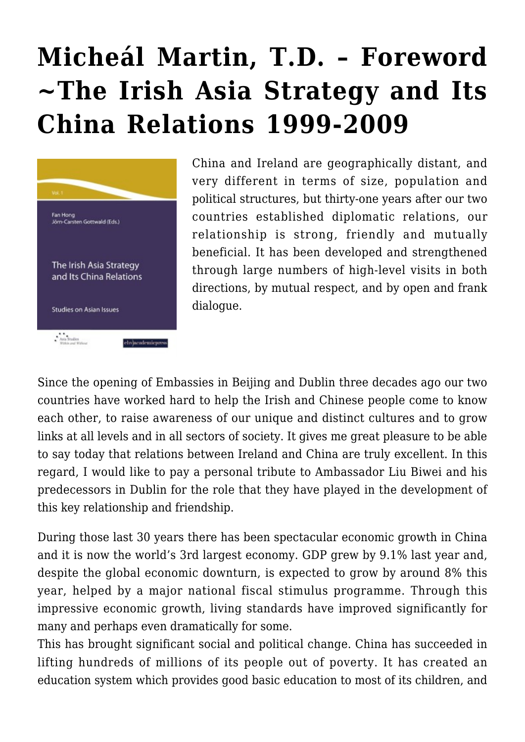## **[Micheál Martin, T.D. – Foreword](https://rozenbergquarterly.com/micheal-martin-t-d-the-irish-asia-strategy-and-its-china-relations-1999-2009-foreword/) [~The Irish Asia Strategy and Its](https://rozenbergquarterly.com/micheal-martin-t-d-the-irish-asia-strategy-and-its-china-relations-1999-2009-foreword/) [China Relations 1999-2009](https://rozenbergquarterly.com/micheal-martin-t-d-the-irish-asia-strategy-and-its-china-relations-1999-2009-foreword/)**



China and Ireland are geographically distant, and very different in terms of size, population and political structures, but thirty-one years after our two countries established diplomatic relations, our relationship is strong, friendly and mutually beneficial. It has been developed and strengthened through large numbers of high-level visits in both directions, by mutual respect, and by open and frank dialogue.

Since the opening of Embassies in Beijing and Dublin three decades ago our two countries have worked hard to help the Irish and Chinese people come to know each other, to raise awareness of our unique and distinct cultures and to grow links at all levels and in all sectors of society. It gives me great pleasure to be able to say today that relations between Ireland and China are truly excellent. In this regard, I would like to pay a personal tribute to Ambassador Liu Biwei and his predecessors in Dublin for the role that they have played in the development of this key relationship and friendship.

During those last 30 years there has been spectacular economic growth in China and it is now the world's 3rd largest economy. GDP grew by 9.1% last year and, despite the global economic downturn, is expected to grow by around 8% this year, helped by a major national fiscal stimulus programme. Through this impressive economic growth, living standards have improved significantly for many and perhaps even dramatically for some.

This has brought significant social and political change. China has succeeded in lifting hundreds of millions of its people out of poverty. It has created an education system which provides good basic education to most of its children, and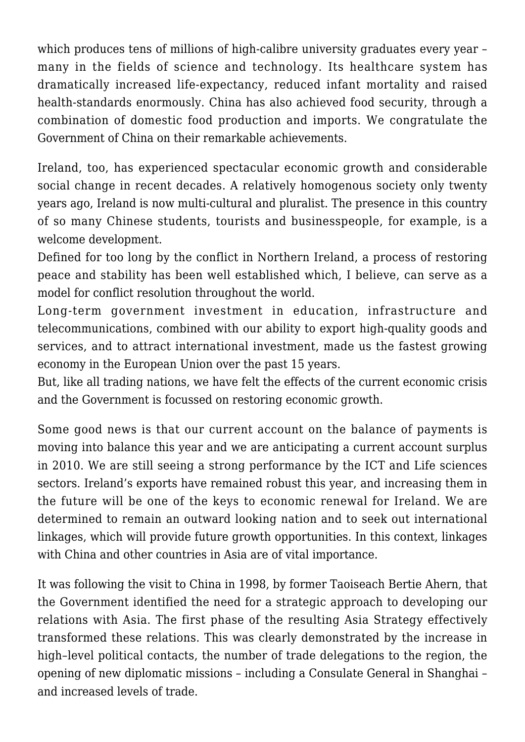which produces tens of millions of high-calibre university graduates every year many in the fields of science and technology. Its healthcare system has dramatically increased life-expectancy, reduced infant mortality and raised health-standards enormously. China has also achieved food security, through a combination of domestic food production and imports. We congratulate the Government of China on their remarkable achievements.

Ireland, too, has experienced spectacular economic growth and considerable social change in recent decades. A relatively homogenous society only twenty years ago, Ireland is now multi-cultural and pluralist. The presence in this country of so many Chinese students, tourists and businesspeople, for example, is a welcome development.

Defined for too long by the conflict in Northern Ireland, a process of restoring peace and stability has been well established which, I believe, can serve as a model for conflict resolution throughout the world.

Long-term government investment in education, infrastructure and telecommunications, combined with our ability to export high-quality goods and services, and to attract international investment, made us the fastest growing economy in the European Union over the past 15 years.

But, like all trading nations, we have felt the effects of the current economic crisis and the Government is focussed on restoring economic growth.

Some good news is that our current account on the balance of payments is moving into balance this year and we are anticipating a current account surplus in 2010. We are still seeing a strong performance by the ICT and Life sciences sectors. Ireland's exports have remained robust this year, and increasing them in the future will be one of the keys to economic renewal for Ireland. We are determined to remain an outward looking nation and to seek out international linkages, which will provide future growth opportunities. In this context, linkages with China and other countries in Asia are of vital importance.

It was following the visit to China in 1998, by former Taoiseach Bertie Ahern, that the Government identified the need for a strategic approach to developing our relations with Asia. The first phase of the resulting Asia Strategy effectively transformed these relations. This was clearly demonstrated by the increase in high–level political contacts, the number of trade delegations to the region, the opening of new diplomatic missions – including a Consulate General in Shanghai – and increased levels of trade.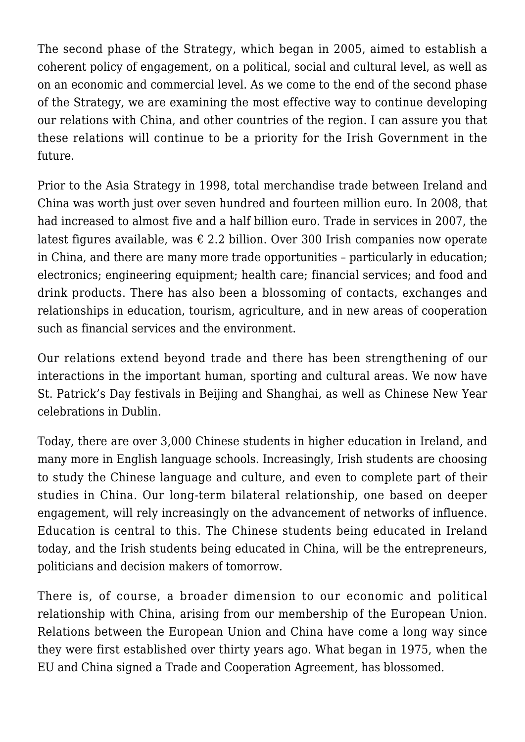The second phase of the Strategy, which began in 2005, aimed to establish a coherent policy of engagement, on a political, social and cultural level, as well as on an economic and commercial level. As we come to the end of the second phase of the Strategy, we are examining the most effective way to continue developing our relations with China, and other countries of the region. I can assure you that these relations will continue to be a priority for the Irish Government in the future.

Prior to the Asia Strategy in 1998, total merchandise trade between Ireland and China was worth just over seven hundred and fourteen million euro. In 2008, that had increased to almost five and a half billion euro. Trade in services in 2007, the latest figures available, was  $\epsilon$  2.2 billion. Over 300 Irish companies now operate in China, and there are many more trade opportunities – particularly in education; electronics; engineering equipment; health care; financial services; and food and drink products. There has also been a blossoming of contacts, exchanges and relationships in education, tourism, agriculture, and in new areas of cooperation such as financial services and the environment.

Our relations extend beyond trade and there has been strengthening of our interactions in the important human, sporting and cultural areas. We now have St. Patrick's Day festivals in Beijing and Shanghai, as well as Chinese New Year celebrations in Dublin.

Today, there are over 3,000 Chinese students in higher education in Ireland, and many more in English language schools. Increasingly, Irish students are choosing to study the Chinese language and culture, and even to complete part of their studies in China. Our long-term bilateral relationship, one based on deeper engagement, will rely increasingly on the advancement of networks of influence. Education is central to this. The Chinese students being educated in Ireland today, and the Irish students being educated in China, will be the entrepreneurs, politicians and decision makers of tomorrow.

There is, of course, a broader dimension to our economic and political relationship with China, arising from our membership of the European Union. Relations between the European Union and China have come a long way since they were first established over thirty years ago. What began in 1975, when the EU and China signed a Trade and Cooperation Agreement, has blossomed.